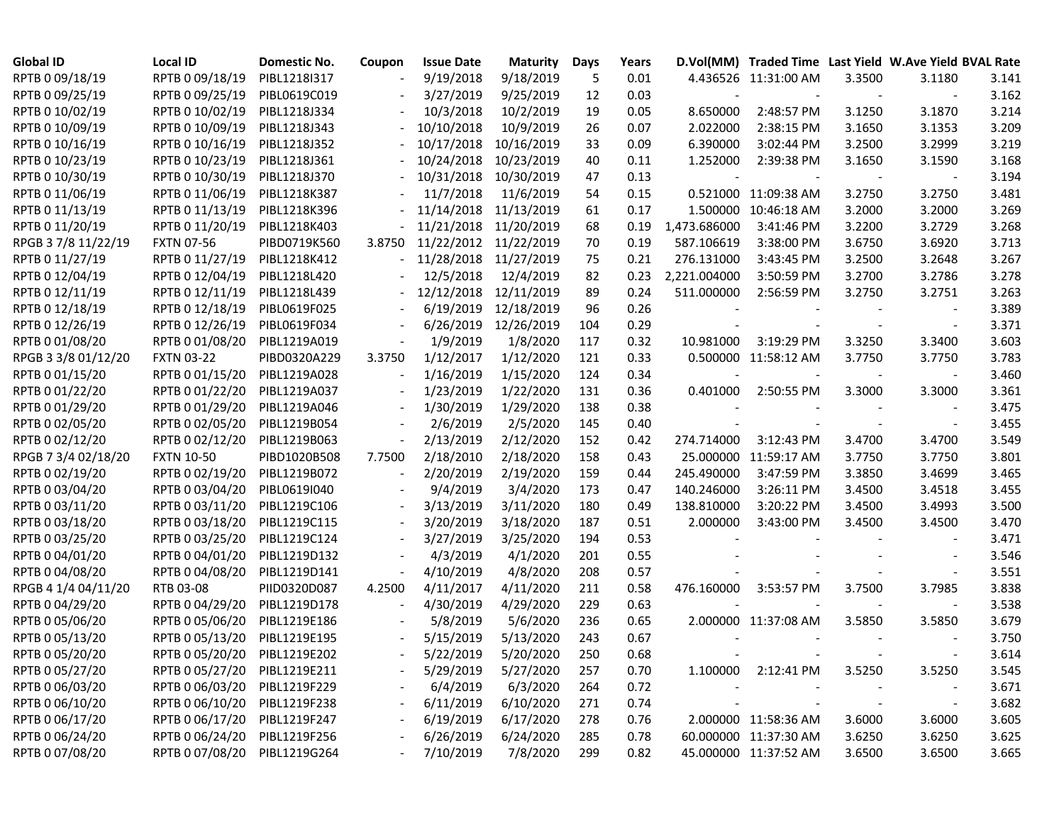| <b>Global ID</b>    | <b>Local ID</b>              | <b>Domestic No.</b> | Coupon | <b>Issue Date</b> | <b>Maturity</b>       | Days | Years |              | D.Vol(MM) Traded Time Last Yield W.Ave Yield BVAL Rate |        |        |       |
|---------------------|------------------------------|---------------------|--------|-------------------|-----------------------|------|-------|--------------|--------------------------------------------------------|--------|--------|-------|
| RPTB 0 09/18/19     | RPTB 0 09/18/19              | PIBL1218I317        |        | 9/19/2018         | 9/18/2019             | 5    | 0.01  |              | 4.436526 11:31:00 AM                                   | 3.3500 | 3.1180 | 3.141 |
| RPTB 0 09/25/19     | RPTB 0 09/25/19              | PIBL0619C019        |        | 3/27/2019         | 9/25/2019             | 12   | 0.03  |              |                                                        |        |        | 3.162 |
| RPTB 0 10/02/19     | RPTB 0 10/02/19              | PIBL1218J334        |        | 10/3/2018         | 10/2/2019             | 19   | 0.05  | 8.650000     | 2:48:57 PM                                             | 3.1250 | 3.1870 | 3.214 |
| RPTB 0 10/09/19     | RPTB 0 10/09/19              | PIBL1218J343        |        | 10/10/2018        | 10/9/2019             | 26   | 0.07  | 2.022000     | 2:38:15 PM                                             | 3.1650 | 3.1353 | 3.209 |
| RPTB 0 10/16/19     | RPTB 0 10/16/19              | PIBL1218J352        |        | 10/17/2018        | 10/16/2019            | 33   | 0.09  | 6.390000     | 3:02:44 PM                                             | 3.2500 | 3.2999 | 3.219 |
| RPTB 0 10/23/19     | RPTB 0 10/23/19              | PIBL1218J361        |        | 10/24/2018        | 10/23/2019            | 40   | 0.11  | 1.252000     | 2:39:38 PM                                             | 3.1650 | 3.1590 | 3.168 |
| RPTB 0 10/30/19     | RPTB 0 10/30/19              | PIBL1218J370        |        | 10/31/2018        | 10/30/2019            | 47   | 0.13  |              |                                                        |        |        | 3.194 |
| RPTB 0 11/06/19     | RPTB 0 11/06/19              | PIBL1218K387        |        | 11/7/2018         | 11/6/2019             | 54   | 0.15  |              | 0.521000 11:09:38 AM                                   | 3.2750 | 3.2750 | 3.481 |
| RPTB 0 11/13/19     | RPTB 0 11/13/19              | PIBL1218K396        |        | 11/14/2018        | 11/13/2019            | 61   | 0.17  |              | 1.500000 10:46:18 AM                                   | 3.2000 | 3.2000 | 3.269 |
| RPTB 0 11/20/19     | RPTB 0 11/20/19              | PIBL1218K403        |        | 11/21/2018        | 11/20/2019            | 68   | 0.19  | 1,473.686000 | 3:41:46 PM                                             | 3.2200 | 3.2729 | 3.268 |
| RPGB 37/8 11/22/19  | <b>FXTN 07-56</b>            | PIBD0719K560        | 3.8750 |                   | 11/22/2012 11/22/2019 | 70   | 0.19  | 587.106619   | 3:38:00 PM                                             | 3.6750 | 3.6920 | 3.713 |
| RPTB 0 11/27/19     | RPTB 0 11/27/19              | PIBL1218K412        |        | $-11/28/2018$     | 11/27/2019            | 75   | 0.21  | 276.131000   | 3:43:45 PM                                             | 3.2500 | 3.2648 | 3.267 |
| RPTB 0 12/04/19     | RPTB 0 12/04/19              | PIBL1218L420        |        | 12/5/2018         | 12/4/2019             | 82   | 0.23  | 2,221.004000 | 3:50:59 PM                                             | 3.2700 | 3.2786 | 3.278 |
| RPTB 0 12/11/19     | RPTB 0 12/11/19              | PIBL1218L439        |        | 12/12/2018        | 12/11/2019            | 89   | 0.24  | 511.000000   | 2:56:59 PM                                             | 3.2750 | 3.2751 | 3.263 |
| RPTB 0 12/18/19     | RPTB 0 12/18/19              | PIBL0619F025        |        | 6/19/2019         | 12/18/2019            | 96   | 0.26  |              |                                                        |        |        | 3.389 |
| RPTB 0 12/26/19     | RPTB 0 12/26/19              | PIBL0619F034        |        | 6/26/2019         | 12/26/2019            | 104  | 0.29  |              |                                                        |        |        | 3.371 |
| RPTB 0 01/08/20     | RPTB 0 01/08/20              | PIBL1219A019        |        | 1/9/2019          | 1/8/2020              | 117  | 0.32  | 10.981000    | 3:19:29 PM                                             | 3.3250 | 3.3400 | 3.603 |
| RPGB 3 3/8 01/12/20 | <b>FXTN 03-22</b>            | PIBD0320A229        | 3.3750 | 1/12/2017         | 1/12/2020             | 121  | 0.33  |              | 0.500000 11:58:12 AM                                   | 3.7750 | 3.7750 | 3.783 |
| RPTB 0 01/15/20     | RPTB 0 01/15/20              | PIBL1219A028        |        | 1/16/2019         | 1/15/2020             | 124  | 0.34  |              |                                                        |        |        | 3.460 |
| RPTB 0 01/22/20     | RPTB 0 01/22/20              | PIBL1219A037        |        | 1/23/2019         | 1/22/2020             | 131  | 0.36  | 0.401000     | 2:50:55 PM                                             | 3.3000 | 3.3000 | 3.361 |
| RPTB 0 01/29/20     | RPTB 0 01/29/20              | PIBL1219A046        |        | 1/30/2019         | 1/29/2020             | 138  | 0.38  |              |                                                        |        |        | 3.475 |
| RPTB 0 02/05/20     | RPTB 0 02/05/20              | PIBL1219B054        |        | 2/6/2019          | 2/5/2020              | 145  | 0.40  |              |                                                        |        |        | 3.455 |
| RPTB 0 02/12/20     | RPTB 0 02/12/20              | PIBL1219B063        |        | 2/13/2019         | 2/12/2020             | 152  | 0.42  | 274.714000   | 3:12:43 PM                                             | 3.4700 | 3.4700 | 3.549 |
| RPGB 7 3/4 02/18/20 | <b>FXTN 10-50</b>            | PIBD1020B508        | 7.7500 | 2/18/2010         | 2/18/2020             | 158  | 0.43  |              | 25.000000 11:59:17 AM                                  | 3.7750 | 3.7750 | 3.801 |
| RPTB 0 02/19/20     | RPTB 0 02/19/20              | PIBL1219B072        |        | 2/20/2019         | 2/19/2020             | 159  | 0.44  | 245.490000   | 3:47:59 PM                                             | 3.3850 | 3.4699 | 3.465 |
| RPTB 0 03/04/20     | RPTB 0 03/04/20              | PIBL0619I040        |        | 9/4/2019          | 3/4/2020              | 173  | 0.47  | 140.246000   | 3:26:11 PM                                             | 3.4500 | 3.4518 | 3.455 |
| RPTB 0 03/11/20     | RPTB 0 03/11/20              | PIBL1219C106        |        | 3/13/2019         | 3/11/2020             | 180  | 0.49  | 138.810000   | 3:20:22 PM                                             | 3.4500 | 3.4993 | 3.500 |
| RPTB 0 03/18/20     | RPTB 0 03/18/20              | PIBL1219C115        |        | 3/20/2019         | 3/18/2020             | 187  | 0.51  | 2.000000     | 3:43:00 PM                                             | 3.4500 | 3.4500 | 3.470 |
| RPTB 0 03/25/20     | RPTB 0 03/25/20              | PIBL1219C124        |        | 3/27/2019         | 3/25/2020             | 194  | 0.53  |              |                                                        |        |        | 3.471 |
| RPTB 0 04/01/20     | RPTB 0 04/01/20              | PIBL1219D132        |        | 4/3/2019          | 4/1/2020              | 201  | 0.55  |              |                                                        |        |        | 3.546 |
| RPTB 0 04/08/20     | RPTB 0 04/08/20              | PIBL1219D141        |        | 4/10/2019         | 4/8/2020              | 208  | 0.57  |              |                                                        |        |        | 3.551 |
| RPGB 4 1/4 04/11/20 | RTB 03-08                    | PIID0320D087        | 4.2500 | 4/11/2017         | 4/11/2020             | 211  | 0.58  | 476.160000   | 3:53:57 PM                                             | 3.7500 | 3.7985 | 3.838 |
| RPTB 0 04/29/20     | RPTB 0 04/29/20              | PIBL1219D178        |        | 4/30/2019         | 4/29/2020             | 229  | 0.63  |              |                                                        |        |        | 3.538 |
| RPTB 0 05/06/20     | RPTB 0 05/06/20              | PIBL1219E186        |        | 5/8/2019          | 5/6/2020              | 236  | 0.65  |              | 2.000000 11:37:08 AM                                   | 3.5850 | 3.5850 | 3.679 |
| RPTB 0 05/13/20     | RPTB 0 05/13/20              | PIBL1219E195        |        | 5/15/2019         | 5/13/2020             | 243  | 0.67  |              |                                                        |        |        | 3.750 |
| RPTB 0 05/20/20     | RPTB 0 05/20/20              | PIBL1219E202        |        | 5/22/2019         | 5/20/2020             | 250  | 0.68  |              |                                                        |        |        | 3.614 |
| RPTB 0 05/27/20     | RPTB 0 05/27/20 PIBL1219E211 |                     |        | 5/29/2019         | 5/27/2020             | 257  | 0.70  |              | 1.100000 2:12:41 PM                                    | 3.5250 | 3.5250 | 3.545 |
| RPTB 0 06/03/20     | RPTB 0 06/03/20 PIBL1219F229 |                     |        | 6/4/2019          | 6/3/2020              | 264  | 0.72  |              |                                                        |        |        | 3.671 |
| RPTB 0 06/10/20     | RPTB 0 06/10/20 PIBL1219F238 |                     |        | 6/11/2019         | 6/10/2020             | 271  | 0.74  |              |                                                        |        |        | 3.682 |
| RPTB 0 06/17/20     | RPTB 0 06/17/20 PIBL1219F247 |                     |        | 6/19/2019         | 6/17/2020             | 278  | 0.76  |              | 2.000000 11:58:36 AM                                   | 3.6000 | 3.6000 | 3.605 |
| RPTB 0 06/24/20     | RPTB 0 06/24/20 PIBL1219F256 |                     |        | 6/26/2019         | 6/24/2020             | 285  | 0.78  |              | 60.000000 11:37:30 AM                                  | 3.6250 | 3.6250 | 3.625 |
| RPTB 0 07/08/20     | RPTB 0 07/08/20 PIBL1219G264 |                     |        | 7/10/2019         | 7/8/2020              | 299  | 0.82  |              | 45.000000 11:37:52 AM                                  | 3.6500 | 3.6500 | 3.665 |
|                     |                              |                     |        |                   |                       |      |       |              |                                                        |        |        |       |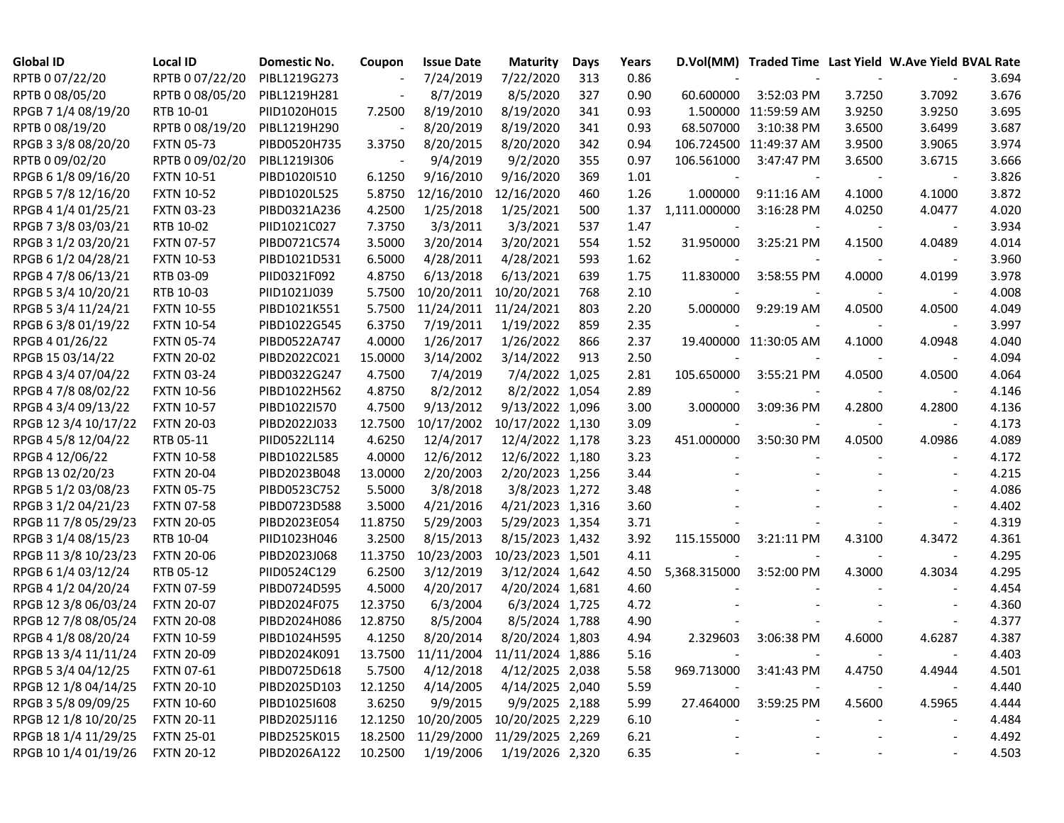| <b>Global ID</b>     | <b>Local ID</b>   | <b>Domestic No.</b> | Coupon  | <b>Issue Date</b>                   | <b>Maturity</b>  | Days | Years |              |                        |        | D.Vol(MM) Traded Time Last Yield W.Ave Yield BVAL Rate |       |
|----------------------|-------------------|---------------------|---------|-------------------------------------|------------------|------|-------|--------------|------------------------|--------|--------------------------------------------------------|-------|
| RPTB 0 07/22/20      | RPTB 0 07/22/20   | PIBL1219G273        |         | 7/24/2019                           | 7/22/2020        | 313  | 0.86  |              |                        |        |                                                        | 3.694 |
| RPTB 0 08/05/20      | RPTB 0 08/05/20   | PIBL1219H281        |         | 8/7/2019                            | 8/5/2020         | 327  | 0.90  | 60.600000    | 3:52:03 PM             | 3.7250 | 3.7092                                                 | 3.676 |
| RPGB 7 1/4 08/19/20  | RTB 10-01         | PIID1020H015        | 7.2500  | 8/19/2010                           | 8/19/2020        | 341  | 0.93  |              | 1.500000 11:59:59 AM   | 3.9250 | 3.9250                                                 | 3.695 |
| RPTB 0 08/19/20      | RPTB 0 08/19/20   | PIBL1219H290        |         | 8/20/2019                           | 8/19/2020        | 341  | 0.93  | 68.507000    | 3:10:38 PM             | 3.6500 | 3.6499                                                 | 3.687 |
| RPGB 3 3/8 08/20/20  | <b>FXTN 05-73</b> | PIBD0520H735        | 3.3750  | 8/20/2015                           | 8/20/2020        | 342  | 0.94  |              | 106.724500 11:49:37 AM | 3.9500 | 3.9065                                                 | 3.974 |
| RPTB 0 09/02/20      | RPTB 0 09/02/20   | PIBL1219I306        |         | 9/4/2019                            | 9/2/2020         | 355  | 0.97  | 106.561000   | 3:47:47 PM             | 3.6500 | 3.6715                                                 | 3.666 |
| RPGB 6 1/8 09/16/20  | <b>FXTN 10-51</b> | PIBD1020I510        | 6.1250  | 9/16/2010                           | 9/16/2020        | 369  | 1.01  |              |                        |        |                                                        | 3.826 |
| RPGB 5 7/8 12/16/20  | <b>FXTN 10-52</b> | PIBD1020L525        | 5.8750  | 12/16/2010                          | 12/16/2020       | 460  | 1.26  | 1.000000     | 9:11:16 AM             | 4.1000 | 4.1000                                                 | 3.872 |
| RPGB 4 1/4 01/25/21  | <b>FXTN 03-23</b> | PIBD0321A236        | 4.2500  | 1/25/2018                           | 1/25/2021        | 500  | 1.37  | 1,111.000000 | 3:16:28 PM             | 4.0250 | 4.0477                                                 | 4.020 |
| RPGB 7 3/8 03/03/21  | RTB 10-02         | PIID1021C027        | 7.3750  | 3/3/2011                            | 3/3/2021         | 537  | 1.47  |              |                        |        |                                                        | 3.934 |
| RPGB 3 1/2 03/20/21  | <b>FXTN 07-57</b> | PIBD0721C574        | 3.5000  | 3/20/2014                           | 3/20/2021        | 554  | 1.52  | 31.950000    | 3:25:21 PM             | 4.1500 | 4.0489                                                 | 4.014 |
| RPGB 6 1/2 04/28/21  | <b>FXTN 10-53</b> | PIBD1021D531        | 6.5000  | 4/28/2011                           | 4/28/2021        | 593  | 1.62  |              |                        |        |                                                        | 3.960 |
| RPGB 4 7/8 06/13/21  | RTB 03-09         | PIID0321F092        | 4.8750  | 6/13/2018                           | 6/13/2021        | 639  | 1.75  | 11.830000    | 3:58:55 PM             | 4.0000 | 4.0199                                                 | 3.978 |
| RPGB 5 3/4 10/20/21  | RTB 10-03         | PIID1021J039        | 5.7500  | 10/20/2011                          | 10/20/2021       | 768  | 2.10  |              |                        |        |                                                        | 4.008 |
| RPGB 5 3/4 11/24/21  | <b>FXTN 10-55</b> | PIBD1021K551        | 5.7500  | 11/24/2011                          | 11/24/2021       | 803  | 2.20  | 5.000000     | 9:29:19 AM             | 4.0500 | 4.0500                                                 | 4.049 |
| RPGB 63/8 01/19/22   | <b>FXTN 10-54</b> | PIBD1022G545        | 6.3750  | 7/19/2011                           | 1/19/2022        | 859  | 2.35  |              |                        |        |                                                        | 3.997 |
| RPGB 4 01/26/22      | <b>FXTN 05-74</b> | PIBD0522A747        | 4.0000  | 1/26/2017                           | 1/26/2022        | 866  | 2.37  |              | 19.400000 11:30:05 AM  | 4.1000 | 4.0948                                                 | 4.040 |
| RPGB 15 03/14/22     | <b>FXTN 20-02</b> | PIBD2022C021        | 15.0000 | 3/14/2002                           | 3/14/2022        | 913  | 2.50  |              |                        |        |                                                        | 4.094 |
| RPGB 4 3/4 07/04/22  | <b>FXTN 03-24</b> | PIBD0322G247        | 4.7500  | 7/4/2019                            | 7/4/2022 1,025   |      | 2.81  | 105.650000   | 3:55:21 PM             | 4.0500 | 4.0500                                                 | 4.064 |
| RPGB 4 7/8 08/02/22  | <b>FXTN 10-56</b> | PIBD1022H562        | 4.8750  | 8/2/2012                            | 8/2/2022 1,054   |      | 2.89  |              |                        |        |                                                        | 4.146 |
| RPGB 4 3/4 09/13/22  | <b>FXTN 10-57</b> | PIBD1022I570        | 4.7500  | 9/13/2012                           | 9/13/2022 1,096  |      | 3.00  | 3.000000     | 3:09:36 PM             | 4.2800 | 4.2800                                                 | 4.136 |
| RPGB 12 3/4 10/17/22 | <b>FXTN 20-03</b> | PIBD2022J033        | 12.7500 | 10/17/2002                          | 10/17/2022 1,130 |      | 3.09  |              |                        |        |                                                        | 4.173 |
| RPGB 4 5/8 12/04/22  | RTB 05-11         | PIID0522L114        | 4.6250  | 12/4/2017                           | 12/4/2022 1,178  |      | 3.23  | 451.000000   | 3:50:30 PM             | 4.0500 | 4.0986                                                 | 4.089 |
| RPGB 4 12/06/22      | <b>FXTN 10-58</b> | PIBD1022L585        | 4.0000  | 12/6/2012                           | 12/6/2022 1,180  |      | 3.23  |              |                        |        |                                                        | 4.172 |
| RPGB 13 02/20/23     | <b>FXTN 20-04</b> | PIBD2023B048        | 13.0000 | 2/20/2003                           | 2/20/2023 1,256  |      | 3.44  |              |                        |        |                                                        | 4.215 |
| RPGB 5 1/2 03/08/23  | <b>FXTN 05-75</b> | PIBD0523C752        | 5.5000  | 3/8/2018                            | 3/8/2023 1,272   |      | 3.48  |              |                        |        |                                                        | 4.086 |
| RPGB 3 1/2 04/21/23  | <b>FXTN 07-58</b> | PIBD0723D588        | 3.5000  | 4/21/2016                           | 4/21/2023 1,316  |      | 3.60  |              |                        |        |                                                        | 4.402 |
| RPGB 11 7/8 05/29/23 | <b>FXTN 20-05</b> | PIBD2023E054        | 11.8750 | 5/29/2003                           | 5/29/2023 1,354  |      | 3.71  |              |                        |        |                                                        | 4.319 |
| RPGB 3 1/4 08/15/23  | RTB 10-04         | PIID1023H046        | 3.2500  | 8/15/2013                           | 8/15/2023 1,432  |      | 3.92  | 115.155000   | 3:21:11 PM             | 4.3100 | 4.3472                                                 | 4.361 |
| RPGB 11 3/8 10/23/23 | <b>FXTN 20-06</b> | PIBD2023J068        | 11.3750 | 10/23/2003                          | 10/23/2023 1,501 |      | 4.11  |              |                        |        |                                                        | 4.295 |
| RPGB 6 1/4 03/12/24  | RTB 05-12         | PIID0524C129        | 6.2500  | 3/12/2019                           | 3/12/2024 1,642  |      | 4.50  | 5,368.315000 | 3:52:00 PM             | 4.3000 | 4.3034                                                 | 4.295 |
| RPGB 4 1/2 04/20/24  | <b>FXTN 07-59</b> | PIBD0724D595        | 4.5000  | 4/20/2017                           | 4/20/2024 1,681  |      | 4.60  |              |                        |        |                                                        | 4.454 |
| RPGB 12 3/8 06/03/24 | <b>FXTN 20-07</b> | PIBD2024F075        | 12.3750 | 6/3/2004                            | 6/3/2024 1,725   |      | 4.72  |              |                        |        |                                                        | 4.360 |
| RPGB 12 7/8 08/05/24 | <b>FXTN 20-08</b> | PIBD2024H086        | 12.8750 | 8/5/2004                            | 8/5/2024 1,788   |      | 4.90  |              |                        |        |                                                        | 4.377 |
| RPGB 4 1/8 08/20/24  | <b>FXTN 10-59</b> | PIBD1024H595        | 4.1250  | 8/20/2014                           | 8/20/2024 1,803  |      | 4.94  | 2.329603     | 3:06:38 PM             | 4.6000 | 4.6287                                                 | 4.387 |
| RPGB 13 3/4 11/11/24 | <b>FXTN 20-09</b> | PIBD2024K091        |         | 13.7500 11/11/2004 11/11/2024 1,886 |                  |      | 5.16  |              |                        |        |                                                        | 4.403 |
| RPGB 5 3/4 04/12/25  | <b>FXTN 07-61</b> | PIBD0725D618        | 5.7500  | 4/12/2018                           | 4/12/2025 2,038  |      | 5.58  | 969.713000   | 3:41:43 PM             | 4.4750 | 4.4944                                                 | 4.501 |
| RPGB 12 1/8 04/14/25 | <b>FXTN 20-10</b> | PIBD2025D103        | 12.1250 | 4/14/2005                           | 4/14/2025 2,040  |      | 5.59  |              |                        |        |                                                        | 4.440 |
| RPGB 3 5/8 09/09/25  | <b>FXTN 10-60</b> | PIBD1025I608        | 3.6250  | 9/9/2015                            | 9/9/2025 2,188   |      | 5.99  | 27.464000    | 3:59:25 PM             | 4.5600 | 4.5965                                                 | 4.444 |
| RPGB 12 1/8 10/20/25 | <b>FXTN 20-11</b> | PIBD2025J116        | 12.1250 | 10/20/2005                          | 10/20/2025 2,229 |      | 6.10  |              |                        |        |                                                        | 4.484 |
| RPGB 18 1/4 11/29/25 | <b>FXTN 25-01</b> | PIBD2525K015        | 18.2500 | 11/29/2000                          | 11/29/2025 2,269 |      | 6.21  |              |                        |        | $\overline{\phantom{a}}$                               | 4.492 |
| RPGB 10 1/4 01/19/26 | <b>FXTN 20-12</b> | PIBD2026A122        | 10.2500 | 1/19/2006                           | 1/19/2026 2,320  |      | 6.35  |              |                        |        |                                                        | 4.503 |